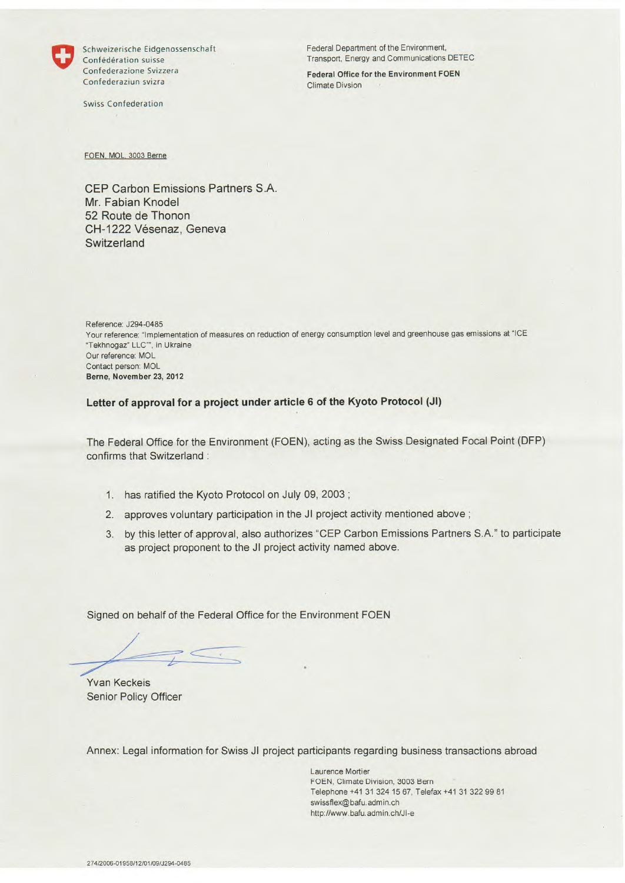

Confédération suisse Transport, Energy and Communications DETEC Confederazione Svizzera Federal Office for the Environment FOEN Confederaziun svizra Climate Divsion

Swiss Confederation

Schweizerische Eidgenossenschaft Federal Department of the Environment,

FOEN, MOL, 3003 Berne

CEP Carbon Emissions Partners S.A. Mr. Fabian Knodel 52 Route de Thonon CH-1222 Vésenaz, Geneva **Switzerland** 

Reference: J294-0485 Your reference: "Implementation of measures on reduction of energy consumption level and greenhouse gas emissions at "ICE "Tekhnogaz" LLC"". in Ukraine Our reference: MOL Contact person: MOL **Berne, November 23, 2012** 

**Letter of approval for a project under article 6 of the Kyoto Protocol (JI)** 

The Federal Office for the Environment (FOEN), acting as the Swiss Designated Focal Point (DFP) confirms that Switzerland :

- 1. has ratified the Kyoto Protocol on July 09, 2003
- 2. approves voluntary participation in the JI project activity mentioned above;
- 3. by this letter of approval, also authorizes 'CEP Carbon Emissions Partners S.A."to participate as project proponent to the Jl project activity named above.

Signed on behalf of the Federal Office for the Environment FOEN

Yvan Keckeis Senior Policy Officer

Annex: Legal information for Swiss JI project participants regarding business transactions abroad

Laurence Mortier FOEN, Climate Division, 3003 Bern Telephone +41 31 324 15 67, Telefax +41 31 322 99 81 swissflex@bafu.admin.ch *http://www.*bafu.admin.ch/Jl-e